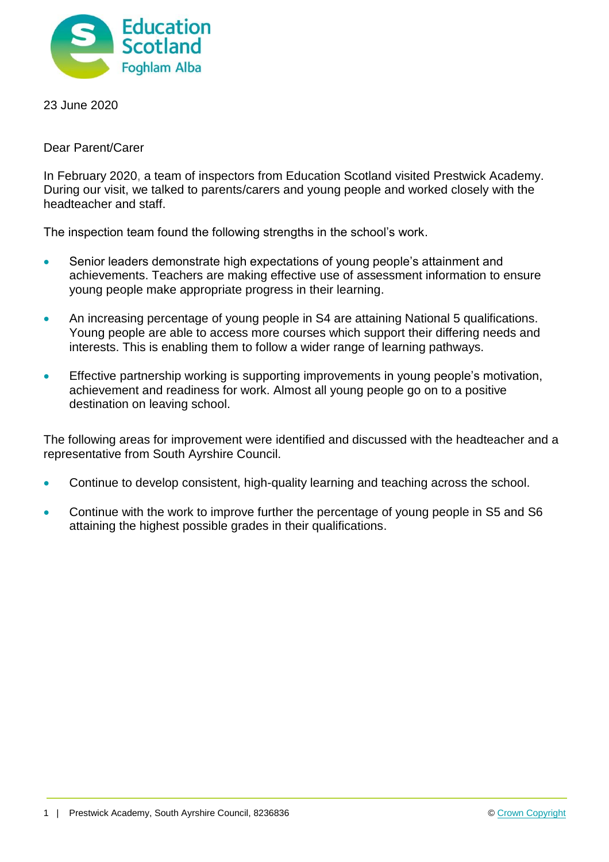

23 June 2020

Dear Parent/Carer

In February 2020, a team of inspectors from Education Scotland visited Prestwick Academy. During our visit, we talked to parents/carers and young people and worked closely with the headteacher and staff.

The inspection team found the following strengths in the school's work.

- Senior leaders demonstrate high expectations of young people's attainment and achievements. Teachers are making effective use of assessment information to ensure young people make appropriate progress in their learning.
- An increasing percentage of young people in S4 are attaining National 5 qualifications. Young people are able to access more courses which support their differing needs and interests. This is enabling them to follow a wider range of learning pathways.
- **Effective partnership working is supporting improvements in young people's motivation,** achievement and readiness for work. Almost all young people go on to a positive destination on leaving school.

The following areas for improvement were identified and discussed with the headteacher and a representative from South Ayrshire Council.

- Continue to develop consistent, high-quality learning and teaching across the school.
- Continue with the work to improve further the percentage of young people in S5 and S6 attaining the highest possible grades in their qualifications.